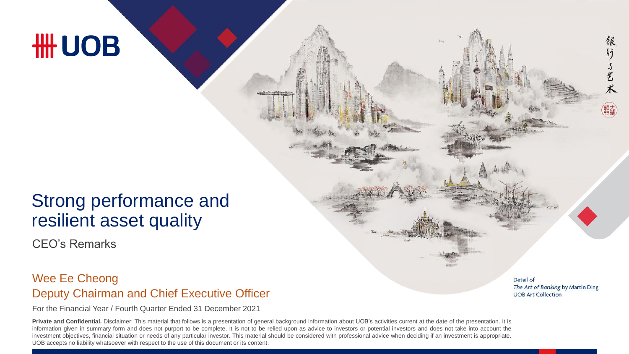# **HH UOB**

## Strong performance and resilient asset quality

CEO's Remarks

### Deputy Chairman and Chief Executive Officer Wee Ee Cheong

For the Financial Year / Fourth Quarter Ended 31 December 2021

**Private and Confidential.** Disclaimer: This material that follows is a presentation of general background information about UOB's activities current at the date of the presentation. It is information given in summary form and does not purport to be complete. It is not to be relied upon as advice to investors or potential investors and does not take into account the investment objectives, financial situation or needs of any particular investor. This material should be considered with professional advice when deciding if an investment is appropriate. UOB accepts no liability whatsoever with respect to the use of this document or its content.

Detail of The Art of Banking by Martin Ding **UOB Art Collection** 

稂 行

了艺术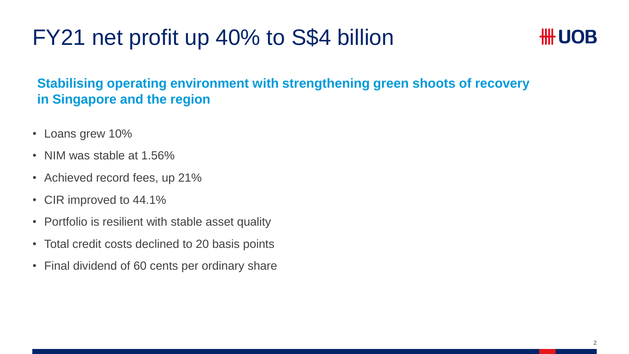## FY21 net profit up 40% to S\$4 billion



## **Stabilising operating environment with strengthening green shoots of recovery in Singapore and the region**

- Loans grew 10%
- NIM was stable at 1.56%
- Achieved record fees, up 21%
- CIR improved to 44.1%
- Portfolio is resilient with stable asset quality
- Total credit costs declined to 20 basis points
- Final dividend of 60 cents per ordinary share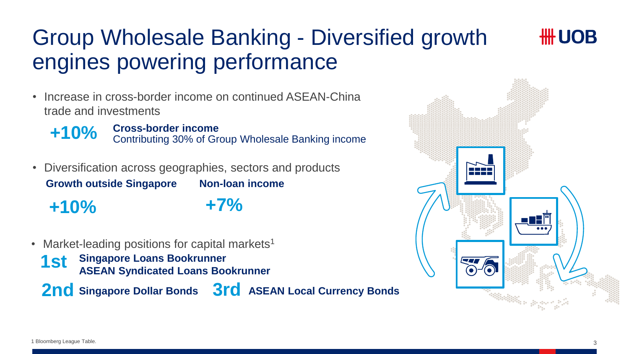## Group Wholesale Banking - Diversified growth engines powering performance

• Increase in cross-border income on continued ASEAN-China trade and investments

**+10%** Cross-border income<br>
Contributing 30% of Group Wholesale Banking income

- Diversification across geographies, sectors and products **Non-loan income +7% Growth outside Singapore +10%**
- Market-leading positions for capital markets<sup>1</sup>

**Singapore Loans Bookrunner 1st** Singapore Loans Bookrunner<br>**1St ASEAN Syndicated Loans Bookrunner** 

**2nd Singapore Dollar Bonds 3rd ASEAN Local Currency Bonds**



*HH UOB*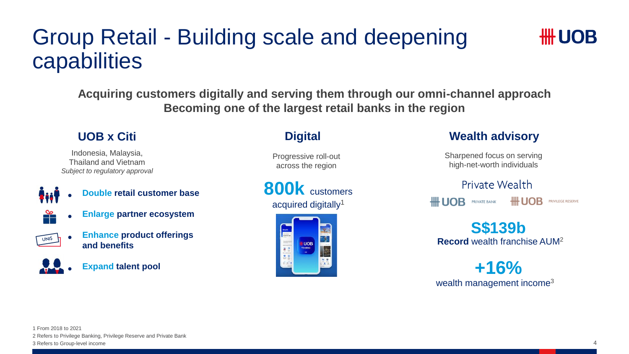## Group Retail - Building scale and deepening capabilities

**Acquiring customers digitally and serving them through our omni-channel approach Becoming one of the largest retail banks in the region** 

### **UOB x Citi**

Indonesia, Malaysia, Thailand and Vietnam *Subject to regulatory approval*

•

- **Double retail customer base**
- **Enlarge partner ecosystem**
- **UNIS**
- **Enhance product offerings and benefits**
- •
- **Expand talent pool**

### **Digital**

Progressive roll-out across the region

**800k** customers acquired digitally<sup>1</sup>



### **Wealth advisory**

Sharpened focus on serving high-net-worth individuals

Private Wealth # UOB **HILLOB** PRIVATE BANK **PRIVILEGE RESERVE** 

**Record** wealth franchise AUM<sup>2</sup> **S\$139b**

wealth management income<sup>3</sup> **+16%**

**##UOB**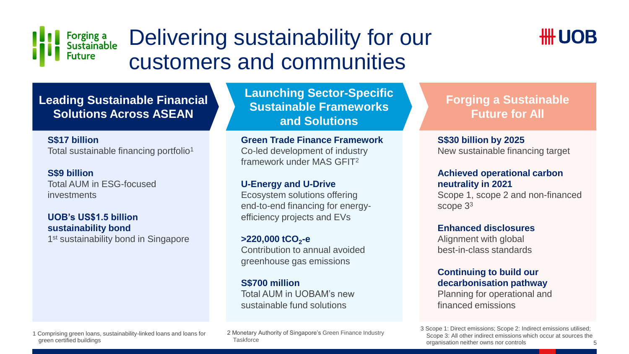

## Delivering sustainability for our customers and communities



**Leading Sustainable Finance Leading Sustainable Financial Solutions Across ASEAN**

**S\$17 billion** Total sustainable financing portfolio<sup>1</sup>

#### **S\$9 billion**

Total AUM in ESG-focused investments

#### **UOB's US\$1.5 billion sustainability bond**

1<sup>st</sup> sustainability bond in Singapore

**Launching Sector-Specific Sustainable Frameworks and Solutions**

#### **Green Trade Finance Framework**

Co-led development of industry framework under MAS GFIT<sup>2</sup>

#### **U-Energy and U-Drive**

Ecosystem solutions offering end-to-end financing for energyefficiency projects and EVs

**>220,000 tCO<sup>2</sup> -e** Contribution to annual avoided greenhouse gas emissions

#### **S\$700 million**

Total AUM in UOBAM's new sustainable fund solutions

### **Forging a Sustainable Future for All**

**S\$30 billion by 2025** New sustainable financing target

#### **Achieved operational carbon neutrality in 2021**

Scope 1, scope 2 and non-financed scope  $3<sup>3</sup>$ 

#### **Enhanced disclosures**

Alignment with global best-in-class standards

#### **Continuing to build our decarbonisation pathway**

Planning for operational and financed emissions

1 Comprising green loans, sustainability-linked loans and loans for green certified buildings

2 Monetary Authority of Singapore's Green Finance Industry **Taskforce** 

3 Scope 1: Direct emissions; Scope 2: Indirect emissions utilised; Scope 3: All other indirect emissions which occur at sources the organisation neither owns nor controls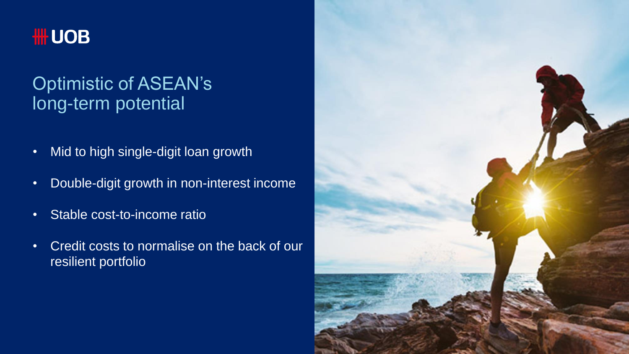

## Optimistic of ASEAN's long-term potential

- Mid to high single-digit loan growth
- Double-digit growth in non-interest income
- Stable cost-to-income ratio
- Credit costs to normalise on the back of our resilient portfolio